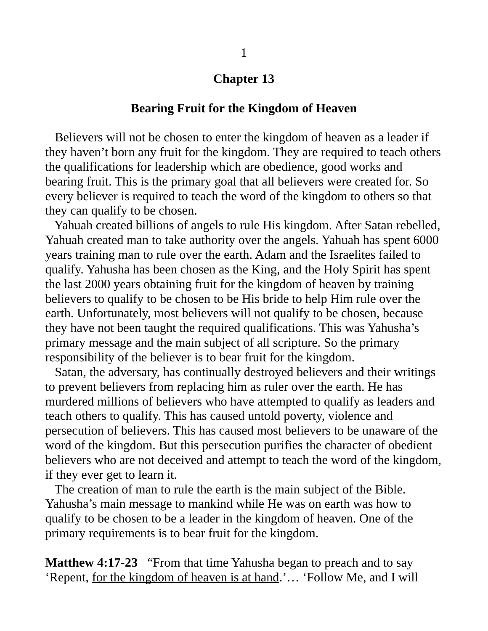## **Chapter 13**

## **Bearing Fruit for the Kingdom of Heaven**

 Believers will not be chosen to enter the kingdom of heaven as a leader if they haven't born any fruit for the kingdom. They are required to teach others the qualifications for leadership which are obedience, good works and bearing fruit. This is the primary goal that all believers were created for. So every believer is required to teach the word of the kingdom to others so that they can qualify to be chosen.

 Yahuah created billions of angels to rule His kingdom. After Satan rebelled, Yahuah created man to take authority over the angels. Yahuah has spent 6000 years training man to rule over the earth. Adam and the Israelites failed to qualify. Yahusha has been chosen as the King, and the Holy Spirit has spent the last 2000 years obtaining fruit for the kingdom of heaven by training believers to qualify to be chosen to be His bride to help Him rule over the earth. Unfortunately, most believers will not qualify to be chosen, because they have not been taught the required qualifications. This was Yahusha's primary message and the main subject of all scripture. So the primary responsibility of the believer is to bear fruit for the kingdom.

 Satan, the adversary, has continually destroyed believers and their writings to prevent believers from replacing him as ruler over the earth. He has murdered millions of believers who have attempted to qualify as leaders and teach others to qualify. This has caused untold poverty, violence and persecution of believers. This has caused most believers to be unaware of the word of the kingdom. But this persecution purifies the character of obedient believers who are not deceived and attempt to teach the word of the kingdom, if they ever get to learn it.

 The creation of man to rule the earth is the main subject of the Bible. Yahusha's main message to mankind while He was on earth was how to qualify to be chosen to be a leader in the kingdom of heaven. One of the primary requirements is to bear fruit for the kingdom.

**Matthew 4:17-23** "From that time Yahusha began to preach and to say 'Repent, for the kingdom of heaven is at hand.'… 'Follow Me, and I will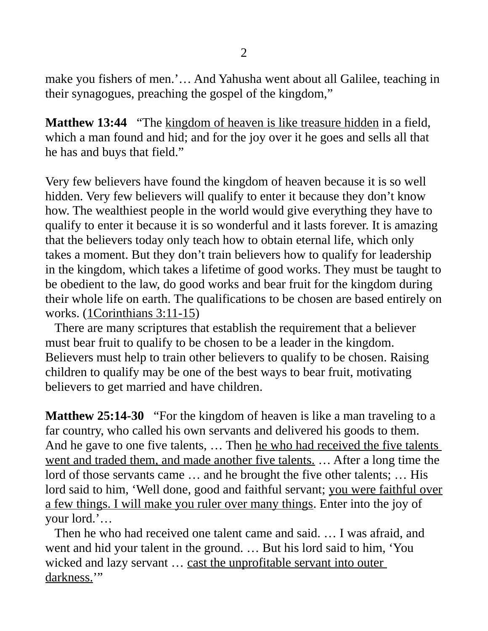make you fishers of men.'… And Yahusha went about all Galilee, teaching in their synagogues, preaching the gospel of the kingdom,"

**Matthew 13:44** "The kingdom of heaven is like treasure hidden in a field, which a man found and hid; and for the joy over it he goes and sells all that he has and buys that field."

Very few believers have found the kingdom of heaven because it is so well hidden. Very few believers will qualify to enter it because they don't know how. The wealthiest people in the world would give everything they have to qualify to enter it because it is so wonderful and it lasts forever. It is amazing that the believers today only teach how to obtain eternal life, which only takes a moment. But they don't train believers how to qualify for leadership in the kingdom, which takes a lifetime of good works. They must be taught to be obedient to the law, do good works and bear fruit for the kingdom during their whole life on earth. The qualifications to be chosen are based entirely on works. (1Corinthians 3:11-15)

 There are many scriptures that establish the requirement that a believer must bear fruit to qualify to be chosen to be a leader in the kingdom. Believers must help to train other believers to qualify to be chosen. Raising children to qualify may be one of the best ways to bear fruit, motivating believers to get married and have children.

**Matthew 25:14-30** "For the kingdom of heaven is like a man traveling to a far country, who called his own servants and delivered his goods to them. And he gave to one five talents, ... Then he who had received the five talents went and traded them, and made another five talents. ... After a long time the lord of those servants came … and he brought the five other talents; … His lord said to him, 'Well done, good and faithful servant; you were faithful over a few things. I will make you ruler over many things. Enter into the joy of your lord.'…

 Then he who had received one talent came and said. … I was afraid, and went and hid your talent in the ground. … But his lord said to him, 'You wicked and lazy servant ... cast the unprofitable servant into outer darkness.'"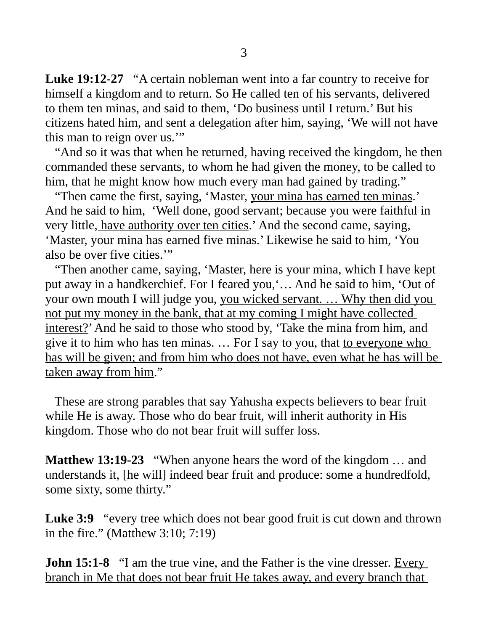**Luke 19:12-27** "A certain nobleman went into a far country to receive for himself a kingdom and to return. So He called ten of his servants, delivered to them ten minas, and said to them, 'Do business until I return.' But his citizens hated him, and sent a delegation after him, saying, 'We will not have this man to reign over us.'"

 "And so it was that when he returned, having received the kingdom, he then commanded these servants, to whom he had given the money, to be called to him, that he might know how much every man had gained by trading."

 "Then came the first, saying, 'Master, your mina has earned ten minas.' And he said to him, 'Well done, good servant; because you were faithful in very little, have authority over ten cities.' And the second came, saying, 'Master, your mina has earned five minas.' Likewise he said to him, 'You also be over five cities.'"

 "Then another came, saying, 'Master, here is your mina, which I have kept put away in a handkerchief. For I feared you,'… And he said to him, 'Out of your own mouth I will judge you, you wicked servant. … Why then did you not put my money in the bank, that at my coming I might have collected interest?' And he said to those who stood by, 'Take the mina from him, and give it to him who has ten minas. ... For I say to you, that to everyone who has will be given; and from him who does not have, even what he has will be taken away from him."

 These are strong parables that say Yahusha expects believers to bear fruit while He is away. Those who do bear fruit, will inherit authority in His kingdom. Those who do not bear fruit will suffer loss.

**Matthew 13:19-23** "When anyone hears the word of the kingdom … and understands it, [he will] indeed bear fruit and produce: some a hundredfold, some sixty, some thirty."

**Luke 3:9** "every tree which does not bear good fruit is cut down and thrown in the fire." (Matthew 3:10; 7:19)

**John 15:1-8** "I am the true vine, and the Father is the vine dresser. Every branch in Me that does not bear fruit He takes away, and every branch that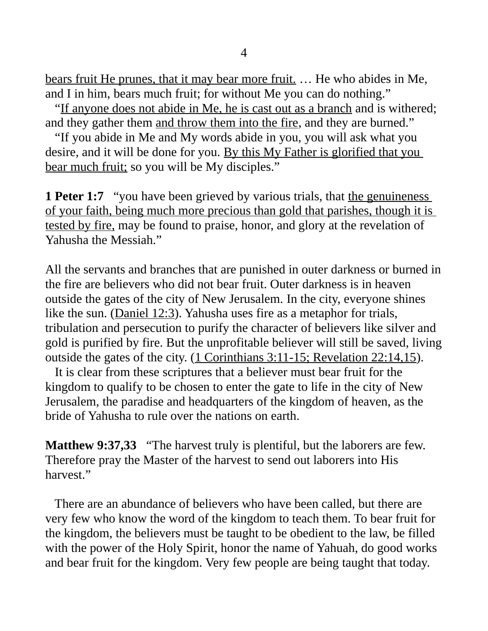bears fruit He prunes, that it may bear more fruit. … He who abides in Me, and I in him, bears much fruit; for without Me you can do nothing."

"If anyone does not abide in Me, he is cast out as a branch and is withered; and they gather them and throw them into the fire, and they are burned."

 "If you abide in Me and My words abide in you, you will ask what you desire, and it will be done for you. By this My Father is glorified that you bear much fruit; so you will be My disciples."

**1 Peter 1:7** "you have been grieved by various trials, that the genuineness of your faith, being much more precious than gold that parishes, though it is tested by fire, may be found to praise, honor, and glory at the revelation of Yahusha the Messiah."

All the servants and branches that are punished in outer darkness or burned in the fire are believers who did not bear fruit. Outer darkness is in heaven outside the gates of the city of New Jerusalem. In the city, everyone shines like the sun. (Daniel 12:3). Yahusha uses fire as a metaphor for trials, tribulation and persecution to purify the character of believers like silver and gold is purified by fire. But the unprofitable believer will still be saved, living outside the gates of the city. (1 Corinthians 3:11-15; Revelation 22:14,15).

 It is clear from these scriptures that a believer must bear fruit for the kingdom to qualify to be chosen to enter the gate to life in the city of New Jerusalem, the paradise and headquarters of the kingdom of heaven, as the bride of Yahusha to rule over the nations on earth.

**Matthew 9:37,33** "The harvest truly is plentiful, but the laborers are few. Therefore pray the Master of the harvest to send out laborers into His harvest"

 There are an abundance of believers who have been called, but there are very few who know the word of the kingdom to teach them. To bear fruit for the kingdom, the believers must be taught to be obedient to the law, be filled with the power of the Holy Spirit, honor the name of Yahuah, do good works and bear fruit for the kingdom. Very few people are being taught that today.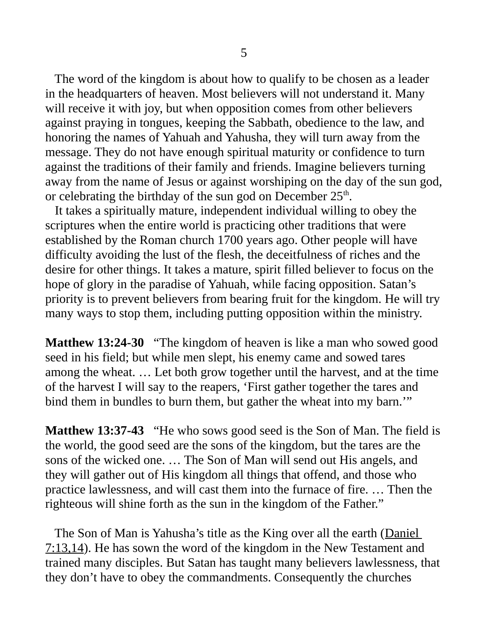The word of the kingdom is about how to qualify to be chosen as a leader in the headquarters of heaven. Most believers will not understand it. Many will receive it with joy, but when opposition comes from other believers against praying in tongues, keeping the Sabbath, obedience to the law, and honoring the names of Yahuah and Yahusha, they will turn away from the message. They do not have enough spiritual maturity or confidence to turn against the traditions of their family and friends. Imagine believers turning away from the name of Jesus or against worshiping on the day of the sun god, or celebrating the birthday of the sun god on December  $25<sup>th</sup>$ .

 It takes a spiritually mature, independent individual willing to obey the scriptures when the entire world is practicing other traditions that were established by the Roman church 1700 years ago. Other people will have difficulty avoiding the lust of the flesh, the deceitfulness of riches and the desire for other things. It takes a mature, spirit filled believer to focus on the hope of glory in the paradise of Yahuah, while facing opposition. Satan's priority is to prevent believers from bearing fruit for the kingdom. He will try many ways to stop them, including putting opposition within the ministry.

**Matthew 13:24-30** "The kingdom of heaven is like a man who sowed good seed in his field; but while men slept, his enemy came and sowed tares among the wheat. … Let both grow together until the harvest, and at the time of the harvest I will say to the reapers, 'First gather together the tares and bind them in bundles to burn them, but gather the wheat into my barn."

**Matthew 13:37-43** "He who sows good seed is the Son of Man. The field is the world, the good seed are the sons of the kingdom, but the tares are the sons of the wicked one. … The Son of Man will send out His angels, and they will gather out of His kingdom all things that offend, and those who practice lawlessness, and will cast them into the furnace of fire. … Then the righteous will shine forth as the sun in the kingdom of the Father."

The Son of Man is Yahusha's title as the King over all the earth (Daniel 7:13,14). He has sown the word of the kingdom in the New Testament and trained many disciples. But Satan has taught many believers lawlessness, that they don't have to obey the commandments. Consequently the churches